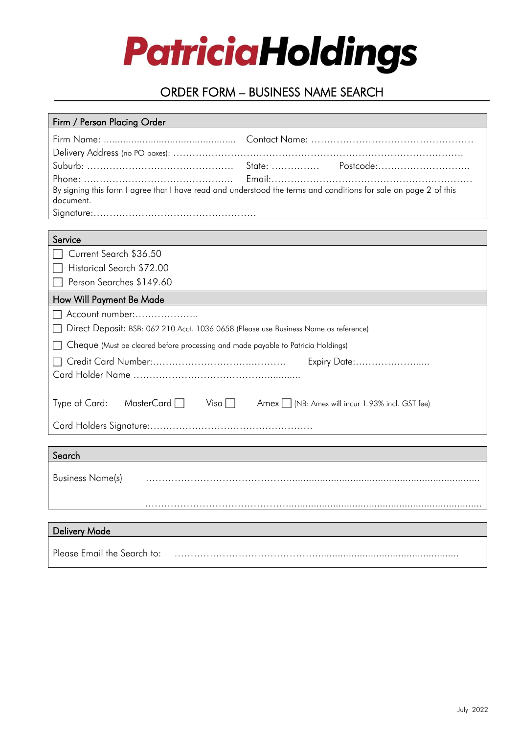

# ORDER FORM – BUSINESS NAME SEARCH

| Firm / Person Placing Order                                                                                      |
|------------------------------------------------------------------------------------------------------------------|
|                                                                                                                  |
|                                                                                                                  |
|                                                                                                                  |
|                                                                                                                  |
| By signing this form I agree that I have read and understood the terms and conditions for sale on page 2 of this |
| document.                                                                                                        |
|                                                                                                                  |
| Service                                                                                                          |
| Current Search \$36.50                                                                                           |
| Historical Search \$72.00                                                                                        |
| Person Searches \$149.60                                                                                         |
| How Will Payment Be Made                                                                                         |
| Account number:                                                                                                  |
| Direct Deposit: BSB: 062 210 Acct. 1036 0658 (Please use Business Name as reference)                             |
|                                                                                                                  |
| Cheque (Must be cleared before processing and made payable to Patricia Holdings)                                 |
| Expiry Date:                                                                                                     |
|                                                                                                                  |
|                                                                                                                  |
| Type of Card:<br>MasterCard   Visa   Amex   (NB: Amex will incur 1.93% incl. GST fee)                            |
|                                                                                                                  |
|                                                                                                                  |
| Search                                                                                                           |
|                                                                                                                  |
| <b>Business Name(s)</b>                                                                                          |
|                                                                                                                  |
|                                                                                                                  |
|                                                                                                                  |
| <b>Delivery Mode</b>                                                                                             |
| Please Email the Search to:                                                                                      |